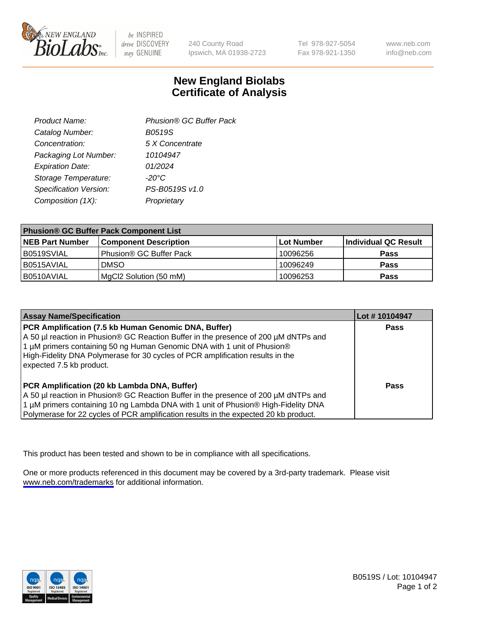

be INSPIRED drive DISCOVERY stay GENUINE

240 County Road Ipswich, MA 01938-2723 Tel 978-927-5054 Fax 978-921-1350

www.neb.com info@neb.com

## **New England Biolabs Certificate of Analysis**

| Product Name:           | Phusion® GC Buffer Pack |
|-------------------------|-------------------------|
| Catalog Number:         | <b>B0519S</b>           |
| Concentration:          | 5 X Concentrate         |
| Packaging Lot Number:   | 10104947                |
| <b>Expiration Date:</b> | 01/2024                 |
| Storage Temperature:    | $-20^{\circ}$ C         |
| Specification Version:  | PS-B0519S v1.0          |
| Composition (1X):       | Proprietary             |
|                         |                         |

| <b>Phusion® GC Buffer Pack Component List</b> |                              |            |                      |  |
|-----------------------------------------------|------------------------------|------------|----------------------|--|
| <b>NEB Part Number</b>                        | <b>Component Description</b> | Lot Number | Individual QC Result |  |
| B0519SVIAL                                    | Phusion® GC Buffer Pack      | 10096256   | <b>Pass</b>          |  |
| B0515AVIAL                                    | <b>DMSO</b>                  | 10096249   | <b>Pass</b>          |  |
| B0510AVIAL                                    | MgCl2 Solution (50 mM)       | 10096253   | <b>Pass</b>          |  |

| <b>Assay Name/Specification</b>                                                                                                                                                                                                                                                                                                      | Lot #10104947 |
|--------------------------------------------------------------------------------------------------------------------------------------------------------------------------------------------------------------------------------------------------------------------------------------------------------------------------------------|---------------|
| PCR Amplification (7.5 kb Human Genomic DNA, Buffer)<br>A 50 µl reaction in Phusion® GC Reaction Buffer in the presence of 200 µM dNTPs and<br>1 µM primers containing 50 ng Human Genomic DNA with 1 unit of Phusion®<br>High-Fidelity DNA Polymerase for 30 cycles of PCR amplification results in the<br>expected 7.5 kb product. | <b>Pass</b>   |
| PCR Amplification (20 kb Lambda DNA, Buffer)<br>A 50 µl reaction in Phusion® GC Reaction Buffer in the presence of 200 µM dNTPs and<br>1 μM primers containing 10 ng Lambda DNA with 1 unit of Phusion® High-Fidelity DNA<br>Polymerase for 22 cycles of PCR amplification results in the expected 20 kb product.                    | Pass          |

This product has been tested and shown to be in compliance with all specifications.

One or more products referenced in this document may be covered by a 3rd-party trademark. Please visit <www.neb.com/trademarks>for additional information.